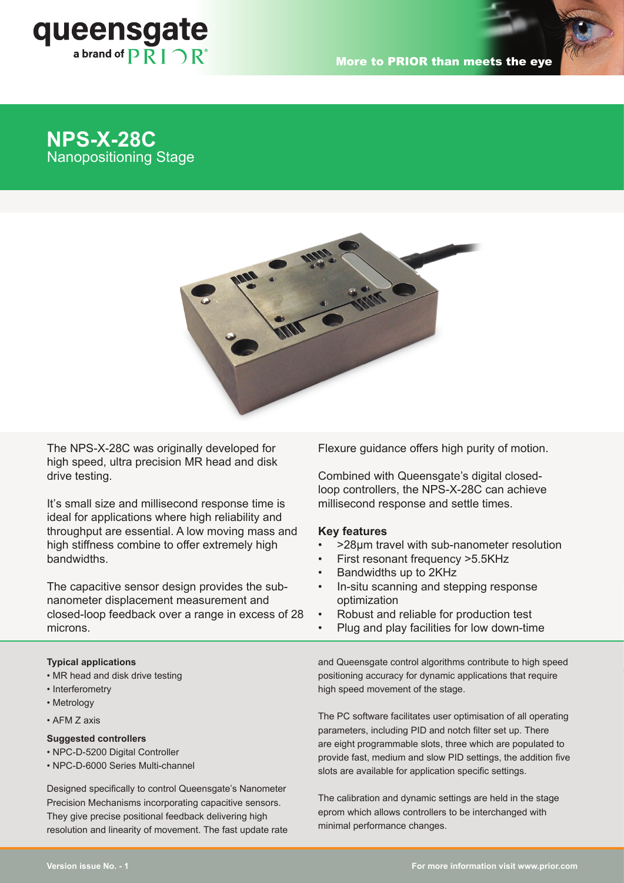

# **NPS-X-28C Nanopositioning Stage**



The NPS-X-28C was originally developed for high speed, ultra precision MR head and disk drive testing.

It's small size and millisecond response time is ideal for applications where high reliability and throughput are essential. A low moving mass and high stiffness combine to offer extremely high bandwidths. stiffness combine to offer extremely high bandwidth. The combine to offer extremely high bandwidth. The combine to offer extremely high bandwidth. The combine to offer the combine to offer the combine to offer the combine

The capacitive sensor design provides the subnanometer displacement measurement and optimization closed-loop feedback over a range in excess of 28 microns.  $\sigma$  a range in excess of zo  $\sim$  - Kobust and reliable for product

## **Typical applications**

- MR head and disk drive testing
- Interferometry
- Metrology
- AFM Z axis

## **Suggested controllers**

- NPC-D-5200 Digital Controller
- NPC-D-6000 Series Multi-channel

Designed specifically to control Queensgate's Nanometer Precision Mechanisms incorporating capacitive sensors. They give precise positional feedback delivering high resolution and linearity of movement. The fast update rate Flexure guidance offers high purity of motion. and model minimizes the effect of  $m$ 

Combined with Queensgate's digital closedloop controllers, the NPS-X-28C can achieve cond response time is a millisecond response and settle times. resonances. The virtual front panel software **Key features**

## **Key features**

- offer extremely high  $\cdot$  >28µm travel with sub-nanometer resolution • **>30***µ***m travel with sub-nanometer**
- ence charactery register and the mass and high reliability and the settlement of the settlement of  $\sim$  First resonant frequency >5.5KHz • **First resonant frequency >4.5KHz**
	- Bandwidths up to 2KHz
- sign provides the sub-**nanometer of the capacities**<br>sign provides the sub-**n**-situ scanning and stepping response optimization • **In-situ scanning and stepping response**
- microns. The reliable for production test<br>example in excess of 28  $\cdot$  Robust and reliable for production test **toot**
- **•** Plug and play facilities for low down-time

and Queensgate control algorithms contribute to high speed positioning accuracy for dynamic applications that require high speed movement of the stage. • **Plug and play facilities for low down-time**

The PC software facilitates user optimisation of all operating parameters, including PID and notch filter set up. There are eight programmable slots, three which are populated to provide fast, medium and slow PID settings, the addition five slots are available for application specific settings.

The calibration and dynamic settings are held in the stage eprom which allows controllers to be interchanged with minimal performance changes.

www.nanopositioning.com